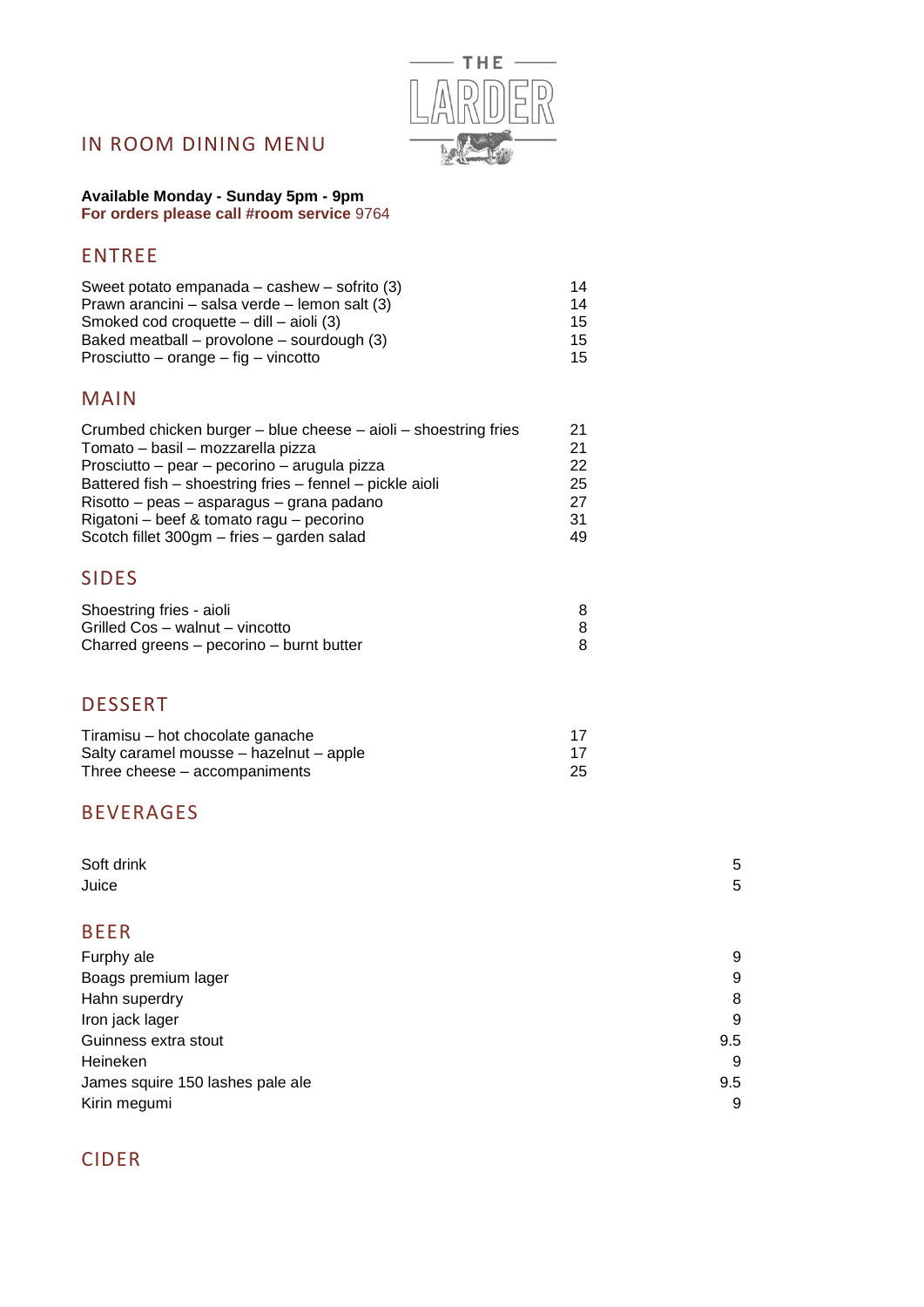

# IN ROOM DINING MENU

**Available Monday - Sunday 5pm - 9pm For orders please call #room service** 9764

## ENTREE

| Sweet potato empanada – cashew – sofrito (3)  | 14 |
|-----------------------------------------------|----|
| Prawn arancini – salsa verde – lemon salt (3) | 14 |
| Smoked cod croquette $-$ dill $-$ aioli (3)   | 15 |
| Baked meatball – provolone – sourdough (3)    | 15 |
| Prosciutto – orange – fig – vincotto          | 15 |

#### MAIN

| Crumbed chicken burger - blue cheese - aioli - shoestring fries | 21 |
|-----------------------------------------------------------------|----|
| Tomato - basil - mozzarella pizza                               | 21 |
| Prosciutto - pear - pecorino - arugula pizza                    | 22 |
| Battered fish - shoestring fries - fennel - pickle aioli        | 25 |
| Risotto – peas – asparagus – grana padano                       | 27 |
| Rigatoni - beef & tomato ragu - pecorino                        | 31 |
| Scotch fillet 300gm - fries - garden salad                      | 49 |
|                                                                 |    |

## SIDES

| Shoestring fries - aioli                 |  |
|------------------------------------------|--|
| Grilled Cos – walnut – vincotto          |  |
| Charred greens – pecorino – burnt butter |  |

#### DESSERT

| Tiramisu – hot chocolate ganache        |    |
|-----------------------------------------|----|
| Salty caramel mousse – hazelnut – apple |    |
| Three cheese – accompaniments           | 25 |

### BEVERAGES

| Soft drink<br>Juice              | 5<br>5 |
|----------------------------------|--------|
| <b>BEER</b>                      |        |
| Furphy ale                       | 9      |
| Boags premium lager              | 9      |
| Hahn superdry                    | 8      |
| Iron jack lager                  | 9      |
| Guinness extra stout             | 9.5    |
| Heineken                         | 9      |
| James squire 150 lashes pale ale | 9.5    |
| Kirin megumi                     | 9      |

# CIDER